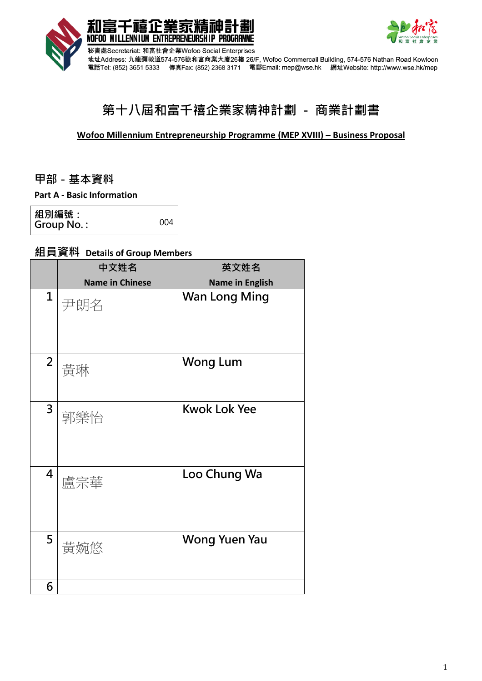



·地址Address: 九龍彌敦道574-576號和富商業大廈26樓 26/F, Wofoo Commercail Building, 574-576 Nathan Road Kowloon<br>電話Tel: (852) 3651 5333 傳真Fax: (852) 2368 3171 電郵Email: mep@wse.hk 網址Website: http://www.wse.hk/mep

# **第十八屆和富千禧企業家精神計劃 - 商業計劃書**

#### **Wofoo Millennium Entrepreneurship Programme (MEP XVIII) – Business Proposal**

**甲部-基本資料**

**Part A - Basic Information**

**組別編號: Group No. :** 004

#### **組員資料 Details of Group Members**

|                | 中文姓名                   | 英文姓名                   |
|----------------|------------------------|------------------------|
|                | <b>Name in Chinese</b> | <b>Name in English</b> |
| 1              | 尹朗名                    | <b>Wan Long Ming</b>   |
| $\overline{2}$ | 黃琳                     | <b>Wong Lum</b>        |
| 3              | 郭樂怡                    | <b>Kwok Lok Yee</b>    |
| 4              | 盧宗華                    | Loo Chung Wa           |
| 5              | 黃婉悠                    | <b>Wong Yuen Yau</b>   |
| 6              |                        |                        |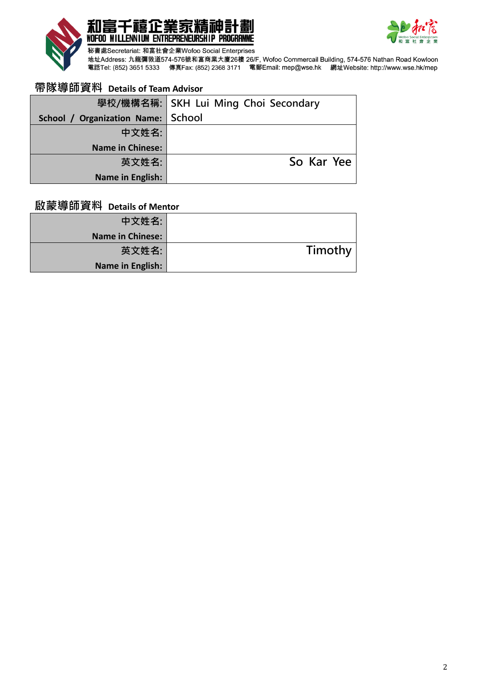



秘書處Secretariat: 和富社會企業Wofoo Social Enterprises<br>地址Address: 九龍彌敦道574-576號和富商業大廈26樓 26/F, Wofoo Commercail Building, 574-576 Nathan Road Kowloon<br>電話Tel: (852) 3651 5333 傳真Fax: (852) 2368 3171 電郵Email: mep@wse.hk 網址Website

# **帶隊導師資料 Details of Team Advisor**

|                                    | 學校/機構名稱: SKH Lui Ming Choi Secondary |
|------------------------------------|--------------------------------------|
| School / Organization Name: School |                                      |
| 中文姓名:                              |                                      |
| <b>Name in Chinese:</b>            |                                      |
| 英文姓名:                              | So Kar Yee                           |
| Name in English:                   |                                      |

## **啟蒙導師資料 Details of Mentor**

|         | 中文姓名:                   |
|---------|-------------------------|
|         | <b>Name in Chinese:</b> |
| Timothy | 英文姓名:                   |
|         | Name in English:        |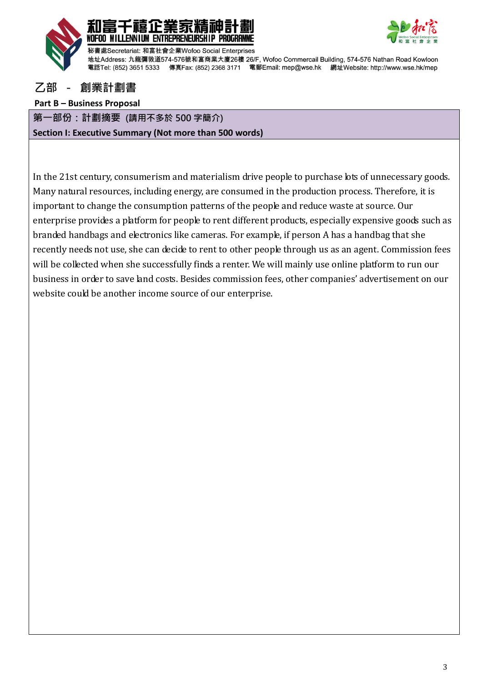



#### **乙部 - 創業計劃書**

#### **Part B – Business Proposal**

**第一部份:計劃摘要 (請用不多於 500 字簡介)**

**Section I: Executive Summary (Not more than 500 words)**

In the 21st century, consumerism and materialism drive people to purchase lots of unnecessary goods. Many natural resources, including energy, are consumed in the production process. Therefore, it is important to change the consumption patterns of the people and reduce waste at source. Our enterprise provides a platform for people to rent different products, especially expensive goods such as branded handbags and electronics like cameras. For example, if person A has a handbag that she recently needs not use, she can decide to rent to other people through us as an agent. Commission fees will be collected when she successfully finds a renter. We will mainly use online platform to run our business in order to save land costs. Besides commission fees, other companies' advertisement on our website could be another income source of our enterprise.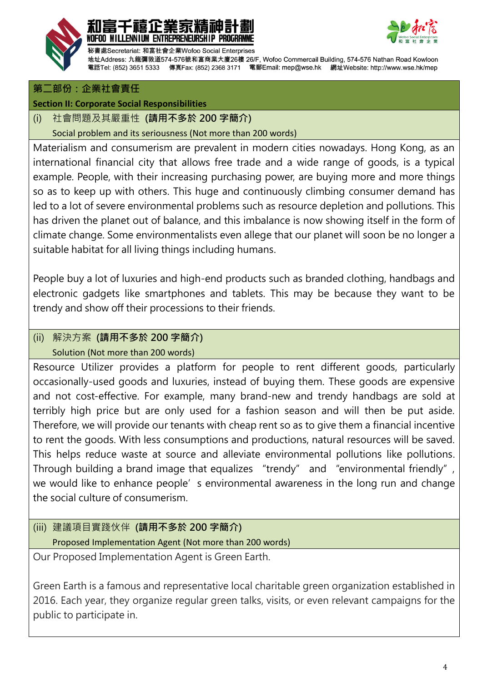

# ENTREPRENEURSHIP PROGRAMME



泌書處Secretariat: 和富社會企業Wofoo Social Enterprises

地址Address: 九龍彌敦道574-576號和富商業大廈26樓 26/F, Wofoo Commercail Building, 574-576 Nathan Road Kowloon 電話Tel: (852) 3651 5333 傳真Fax: (852) 2368 3171 電郵Email: mep@wse.hk 網址Website: http://www.wse.hk/mep

## **第二部份:企業社會責任**

#### **Section II: Corporate Social Responsibilities**

(i) 社會問題及其嚴重性 **(請用不多於 200 字簡介)**

Social problem and its seriousness (Not more than 200 words)

Materialism and consumerism are prevalent in modern cities nowadays. Hong Kong, as an international financial city that allows free trade and a wide range of goods, is a typical example. People, with their increasing purchasing power, are buying more and more things so as to keep up with others. This huge and continuously climbing consumer demand has led to a lot of severe environmental problems such as resource depletion and pollutions. This has driven the planet out of balance, and this imbalance is now showing itself in the form of climate change. Some environmentalists even allege that our planet will soon be no longer a suitable habitat for all living things including humans.

People buy a lot of luxuries and high-end products such as branded clothing, handbags and electronic gadgets like smartphones and tablets. This may be because they want to be trendy and show off their processions to their friends.

#### (ii) 解決方案 **(請用不多於 200 字簡介)** Solution (Not more than 200 words)

Resource Utilizer provides a platform for people to rent different goods, particularly occasionally-used goods and luxuries, instead of buying them. These goods are expensive and not cost-effective. For example, many brand-new and trendy handbags are sold at terribly high price but are only used for a fashion season and will then be put aside. Therefore, we will provide our tenants with cheap rent so as to give them a financial incentive to rent the goods. With less consumptions and productions, natural resources will be saved. This helps reduce waste at source and alleviate environmental pollutions like pollutions. Through building a brand image that equalizes "trendy" and "environmental friendly", we would like to enhance people's environmental awareness in the long run and change the social culture of consumerism.

## (iii) 建議項目實踐伙伴 **(請用不多於 200 字簡介)** Proposed Implementation Agent (Not more than 200 words)

Our Proposed Implementation Agent is Green Earth.

Green Earth is a famous and representative local charitable green organization established in 2016. Each year, they organize regular green talks, visits, or even relevant campaigns for the public to participate in.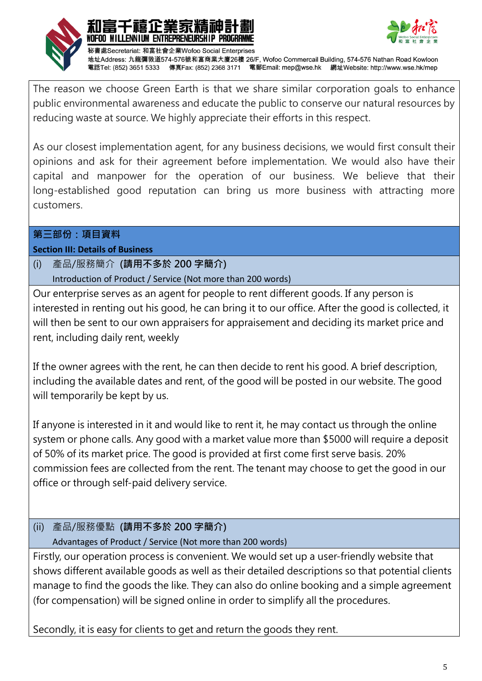



地址Address: 九龍彌敦道574-576號和富商業大廈26樓 26/F, Wofoo Commercail Building, 574-576 Nathan Road Kowloon 電話Tel: (852) 3651 5333 傳真Fax: (852) 2368 3171 電郵Email: mep@wse.hk 網址Website: http://www.wse.hk/mep

The reason we choose Green Earth is that we share similar corporation goals to enhance public environmental awareness and educate the public to conserve our natural resources by reducing waste at source. We highly appreciate their efforts in this respect.

As our closest implementation agent, for any business decisions, we would first consult their opinions and ask for their agreement before implementation. We would also have their capital and manpower for the operation of our business. We believe that their long-established good reputation can bring us more business with attracting more customers.

#### **第三部份:項目資料**

#### **Section III: Details of Business**

## (i) 產品/服務簡介 **(請用不多於 200 字簡介)**

Introduction of Product / Service (Not more than 200 words)

Our enterprise serves as an agent for people to rent different goods. If any person is interested in renting out his good, he can bring it to our office. After the good is collected, it will then be sent to our own appraisers for appraisement and deciding its market price and rent, including daily rent, weekly

If the owner agrees with the rent, he can then decide to rent his good. A brief description, including the available dates and rent, of the good will be posted in our website. The good will temporarily be kept by us.

If anyone is interested in it and would like to rent it, he may contact us through the online system or phone calls. Any good with a market value more than \$5000 will require a deposit of 50% of its market price. The good is provided at first come first serve basis. 20% commission fees are collected from the rent. The tenant may choose to get the good in our office or through self-paid delivery service.

## (ii) 產品/服務優點 **(請用不多於 200 字簡介)** Advantages of Product / Service (Not more than 200 words)

Firstly, our operation process is convenient. We would set up a user-friendly website that shows different available goods as well as their detailed descriptions so that potential clients manage to find the goods the like. They can also do online booking and a simple agreement (for compensation) will be signed online in order to simplify all the procedures.

Secondly, it is easy for clients to get and return the goods they rent.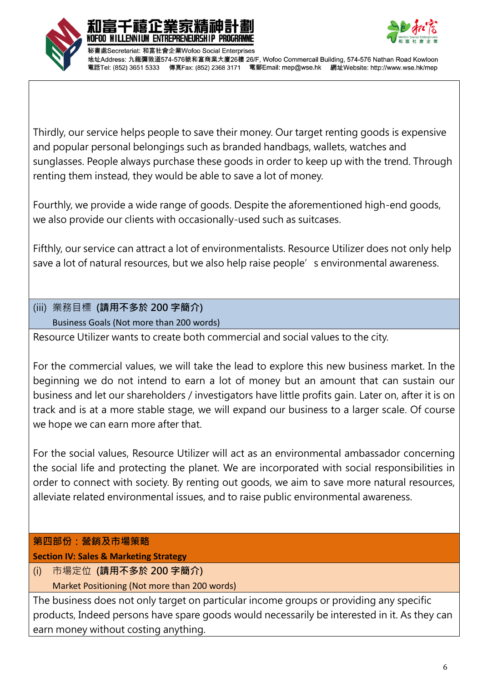



書處Secretariat: 和富社會企業Wofoo Social Enterprises 地址Address: 九龍彌敦道574-576號和富商業大廈26樓 26/F, Wofoo Commercail Building, 574-576 Nathan Road Kowloon 電話Tel: (852) 3651 5333 傳真Fax: (852) 2368 3171 電郵Email: mep@wse.hk 網址Website: http://www.wse.hk/mep

Thirdly, our service helps people to save their money. Our target renting goods is expensive and popular personal belongings such as branded handbags, wallets, watches and sunglasses. People always purchase these goods in order to keep up with the trend. Through renting them instead, they would be able to save a lot of money.

ENTREPRENEURSHIP PROGRAMM

Fourthly, we provide a wide range of goods. Despite the aforementioned high-end goods, we also provide our clients with occasionally-used such as suitcases.

Fifthly, our service can attract a lot of environmentalists. Resource Utilizer does not only help save a lot of natural resources, but we also help raise people's environmental awareness.

# (iii) 業務目標 **(請用不多於 200 字簡介)** Business Goals (Not more than 200 words)

Resource Utilizer wants to create both commercial and social values to the city.

For the commercial values, we will take the lead to explore this new business market. In the beginning we do not intend to earn a lot of money but an amount that can sustain our business and let our shareholders / investigators have little profits gain. Later on, after it is on track and is at a more stable stage, we will expand our business to a larger scale. Of course we hope we can earn more after that.

For the social values, Resource Utilizer will act as an environmental ambassador concerning the social life and protecting the planet. We are incorporated with social responsibilities in order to connect with society. By renting out goods, we aim to save more natural resources, alleviate related environmental issues, and to raise public environmental awareness.

#### **第四部份:營銷及市場策略**

**Section IV: Sales & Marketing Strategy**

(i) 市場定位 **(請用不多於 200 字簡介)** Market Positioning (Not more than 200 words)

The business does not only target on particular income groups or providing any specific products, Indeed persons have spare goods would necessarily be interested in it. As they can earn money without costing anything.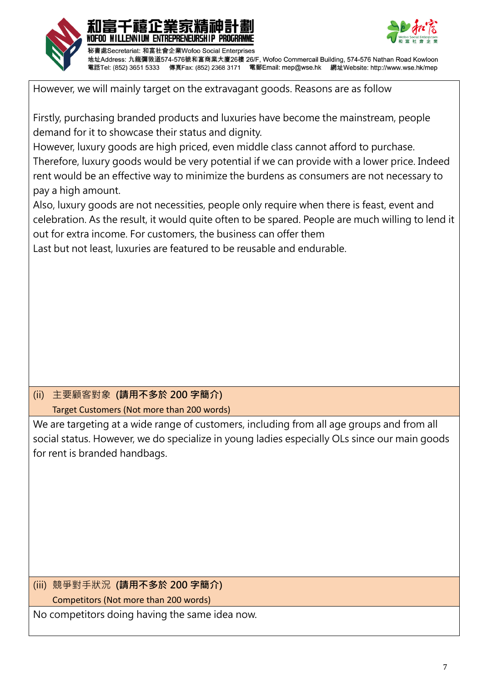



地址Address: 九龍彌敦道574-576號和富商業大廈26樓 26/F, Wofoo Commercail Building, 574-576 Nathan Road Kowloon 電話Tel: (852) 3651 5333 傳真Fax: (852) 2368 3171 電郵Email: mep@wse.hk 網址Website: http://www.wse.hk/mep

However, we will mainly target on the extravagant goods. Reasons are as follow

Firstly, purchasing branded products and luxuries have become the mainstream, people demand for it to showcase their status and dignity.

However, luxury goods are high priced, even middle class cannot afford to purchase.

Therefore, luxury goods would be very potential if we can provide with a lower price. Indeed rent would be an effective way to minimize the burdens as consumers are not necessary to pay a high amount.

Also, luxury goods are not necessities, people only require when there is feast, event and celebration. As the result, it would quite often to be spared. People are much willing to lend it out for extra income. For customers, the business can offer them

Last but not least, luxuries are featured to be reusable and endurable.

## (ii) 主要顧客對象 **(請用不多於 200 字簡介)** Target Customers (Not more than 200 words)

We are targeting at a wide range of customers, including from all age groups and from all social status. However, we do specialize in young ladies especially OLs since our main goods for rent is branded handbags.

## (iii) 競爭對手狀況 **(請用不多於 200 字簡介)** Competitors (Not more than 200 words)

No competitors doing having the same idea now.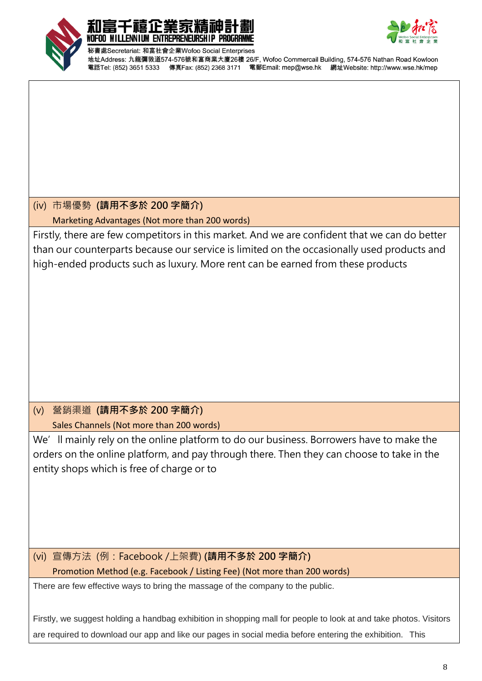



地址Address: 九龍彌敦道574-576號和富商業大廈26樓 26/F, Wofoo Commercail Building, 574-576 Nathan Road Kowloon 電話Tel: (852) 3651 5333 傳真Fax: (852) 2368 3171 電郵Email: mep@wse.hk 網址Website: http://www.wse.hk/mep

### (iv) 市場優勢 **(請用不多於 200 字簡介)**

Marketing Advantages (Not more than 200 words)

Firstly, there are few competitors in this market. And we are confident that we can do better than our counterparts because our service is limited on the occasionally used products and high-ended products such as luxury. More rent can be earned from these products

#### (v) 營銷渠道 **(請用不多於 200 字簡介)** Sales Channels (Not more than 200 words)

We'll mainly rely on the online platform to do our business. Borrowers have to make the orders on the online platform, and pay through there. Then they can choose to take in the entity shops which is free of charge or to

(vi) 宣傳方法 (例:Facebook /上架費) **(請用不多於 200 字簡介)** Promotion Method (e.g. Facebook / Listing Fee) (Not more than 200 words)

There are few effective ways to bring the massage of the company to the public.

Firstly, we suggest holding a handbag exhibition in shopping mall for people to look at and take photos. Visitors are required to download our app and like our pages in social media before entering the exhibition. This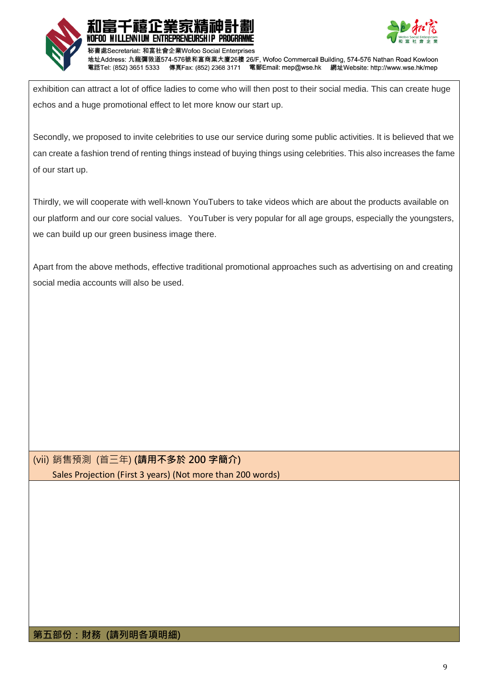



地址Address: 九龍彌敦道574-576號和富商業大廈26樓 26/F, Wofoo Commercail Building, 574-576 Nathan Road Kowloon 電話Tel: (852) 3651 5333 傳真Fax: (852) 2368 3171 電郵Email: mep@wse.hk 網址Website: http://www.wse.hk/mep

exhibition can attract a lot of office ladies to come who will then post to their social media. This can create huge echos and a huge promotional effect to let more know our start up.

Secondly, we proposed to invite celebrities to use our service during some public activities. It is believed that we can create a fashion trend of renting things instead of buying things using celebrities. This also increases the fame of our start up.

Thirdly, we will cooperate with well-known YouTubers to take videos which are about the products available on our platform and our core social values. YouTuber is very popular for all age groups, especially the youngsters, we can build up our green business image there.

Apart from the above methods, effective traditional promotional approaches such as advertising on and creating social media accounts will also be used.

(vii) 銷售預測 (首三年) **(請用不多於 200 字簡介)** Sales Projection (First 3 years) (Not more than 200 words)

**第五部份:財務 (請列明各項明細)**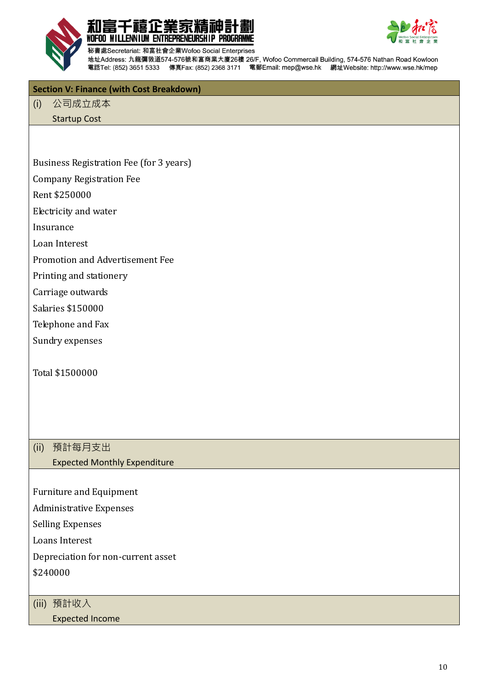



地址Address: 九龍彌敦道574-576號和富商業大廈26樓 26/F, Wofoo Commercail Building, 574-576 Nathan Road Kowloon 電話Tel: (852) 3651 5333 傳真Fax: (852) 2368 3171 電郵Email: mep@wse.hk 網址Website: http://www.wse.hk/mep

#### **Section V: Finance (with Cost Breakdown)**

(i) 公司成立成本

Startup Cost

Business Registration Fee (for 3 years)

Company Registration Fee

Rent \$250000

Electricity and water

Insurance

Loan Interest

Promotion and Advertisement Fee

Printing and stationery

Carriage outwards

Salaries \$150000

Telephone and Fax

Sundry expenses

Total \$1500000

(ii) 預計每月支出 Expected Monthly Expenditure

Furniture and Equipment

Administrative Expenses

Selling Expenses

Loans Interest

Depreciation for non-current asset

\$240000

(iii) 預計收入

Expected Income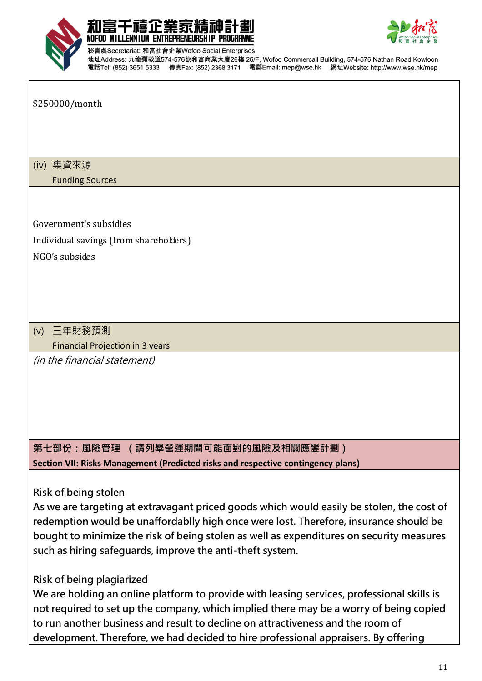



地址Address: 九龍彌敦道574-576號和富商業大廈26樓 26/F, Wofoo Commercail Building, 574-576 Nathan Road Kowloon 電話Tel: (852) 3651 5333 傳真Fax: (852) 2368 3171 電郵Email: mep@wse.hk 網址Website: http://www.wse.hk/mep

#### \$250000/month

(iv) 集資來源

Funding Sources

Government's subsidies

Individual savings (from shareholders)

NGO's subsides

(v) 三年財務預測 Financial Projection in 3 years

(in the financial statement)

**第七部份:風險管理 (請列舉營運期間可能面對的風險及相關應變計劃) Section VII: Risks Management (Predicted risks and respective contingency plans)**

## **Risk of being stolen**

**As we are targeting at extravagant priced goods which would easily be stolen, the cost of redemption would be unaffordablly high once were lost. Therefore, insurance should be bought to minimize the risk of being stolen as well as expenditures on security measures such as hiring safeguards, improve the anti-theft system.** 

## **Risk of being plagiarized**

**We are holding an online platform to provide with leasing services, professional skills is not required to set up the company, which implied there may be a worry of being copied to run another business and result to decline on attractiveness and the room of development. Therefore, we had decided to hire professional appraisers. By offering**